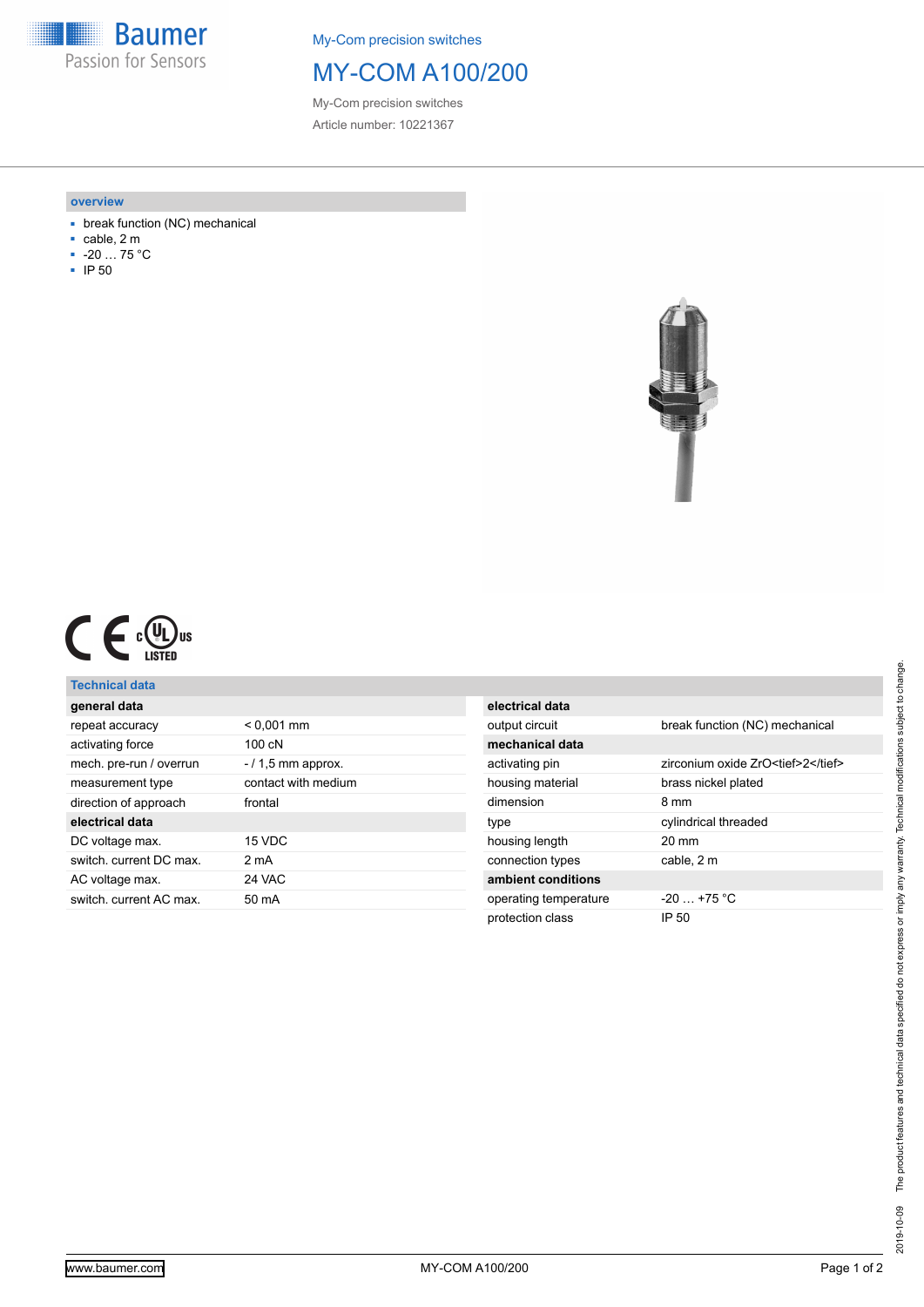**Baumer** Passion for Sensors

My-Com precision switches

## MY-COM A100/200

My-Com precision switches Article number: 10221367

#### **overview**

- break function (NC) mechanical
- cable, 2 m
- -20 … 75 °C
- IP 50



|  |  | c(V)<br>L Jus<br>LISTED |
|--|--|-------------------------|
|--|--|-------------------------|

### **Technical data**

| general data            |                      |
|-------------------------|----------------------|
| repeat accuracy         | $< 0.001$ mm         |
| activating force        | $100c$ N             |
| mech. pre-run / overrun | $-$ / 1,5 mm approx. |
| measurement type        | contact with medium  |
| direction of approach   | frontal              |
| electrical data         |                      |
| DC voltage max.         | 15 VDC               |
| switch, current DC max. | 2 mA                 |
| AC voltage max.         | 24 VAC               |
| switch, current AC max. | 50 mA                |
|                         |                      |

| electrical data       |                                    |
|-----------------------|------------------------------------|
| output circuit        | break function (NC) mechanical     |
| mechanical data       |                                    |
| activating pin        | zirconium oxide ZrO <tief>2</tief> |
| housing material      | brass nickel plated                |
| dimension             | 8 mm                               |
| type                  | cylindrical threaded               |
| housing length        | $20 \text{ mm}$                    |
| connection types      | cable, 2 m                         |
| ambient conditions    |                                    |
| operating temperature | $-20$ $+75$ °C                     |
| protection class      | IP 50                              |